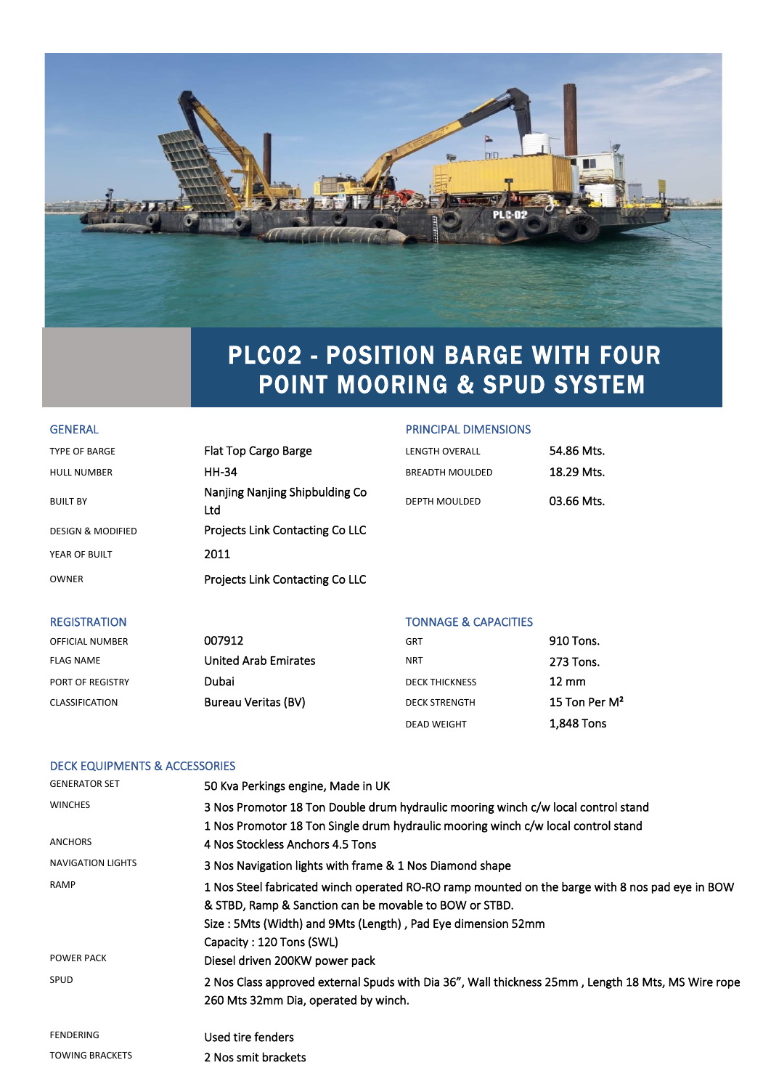

## PLC02 - POSITION BARGE WITH FOUR POINT MOORING & SPUD SYSTEM

### GENERAL GENERAL PRINCIPAL DIMENSIONS

| <b>TYPE OF BARGE</b>         | Flat Top Cargo Barge                  | <b>LENGTH OVERALL</b>  | 54.86 Mts. |
|------------------------------|---------------------------------------|------------------------|------------|
| <b>HULL NUMBER</b>           | <b>HH-34</b>                          | <b>BREADTH MOULDED</b> | 18.29 Mts. |
| <b>BUILT BY</b>              | Nanjing Nanjing Shipbulding Co<br>Ltd | <b>DEPTH MOULDED</b>   | 03.66 Mts. |
| <b>DESIGN &amp; MODIFIED</b> | Projects Link Contacting Co LLC       |                        |            |
| YEAR OF BUILT                | 2011                                  |                        |            |
| OWNER                        | Projects Link Contacting Co LLC       |                        |            |
|                              |                                       |                        |            |

### REGISTRATION **TONNAGE & CAPACITIES**

| <b>OFFICIAL NUMBER</b> | 007912                      | <b>GRT</b>            | 910 Tons.        |
|------------------------|-----------------------------|-----------------------|------------------|
| <b>FLAG NAME</b>       | <b>United Arab Emirates</b> | <b>NRT</b>            | 273 Tons.        |
| PORT OF REGISTRY       | Dubai                       | <b>DECK THICKNESS</b> | $12 \text{ mm}$  |
| <b>CLASSIFICATION</b>  | <b>Bureau Veritas (BV)</b>  | <b>DECK STRENGTH</b>  | 15 Ton Per $M^2$ |
|                        |                             | <b>DEAD WEIGHT</b>    | 1.848 Tons       |

## DECK EQUIPMENTS & ACCESSORIES

| <b>GENERATOR SET</b>     | 50 Kva Perkings engine, Made in UK                                                                 |
|--------------------------|----------------------------------------------------------------------------------------------------|
| <b>WINCHES</b>           | 3 Nos Promotor 18 Ton Double drum hydraulic mooring winch c/w local control stand                  |
|                          | 1 Nos Promotor 18 Ton Single drum hydraulic mooring winch c/w local control stand                  |
| ANCHORS                  | 4 Nos Stockless Anchors 4.5 Tons                                                                   |
| <b>NAVIGATION LIGHTS</b> | 3 Nos Navigation lights with frame & 1 Nos Diamond shape                                           |
| <b>RAMP</b>              | 1 Nos Steel fabricated winch operated RO-RO ramp mounted on the barge with 8 nos pad eye in BOW    |
|                          | & STBD, Ramp & Sanction can be movable to BOW or STBD.                                             |
|                          | Size: 5Mts (Width) and 9Mts (Length), Pad Eye dimension 52mm                                       |
|                          | Capacity: 120 Tons (SWL)                                                                           |
| POWER PACK               | Diesel driven 200KW power pack                                                                     |
| SPUD                     | 2 Nos Class approved external Spuds with Dia 36", Wall thickness 25mm, Length 18 Mts, MS Wire rope |
|                          | 260 Mts 32mm Dia, operated by winch.                                                               |
| <b>FENDERING</b>         | Used tire fenders                                                                                  |
| <b>TOWING BRACKETS</b>   | 2 Nos smit brackets                                                                                |